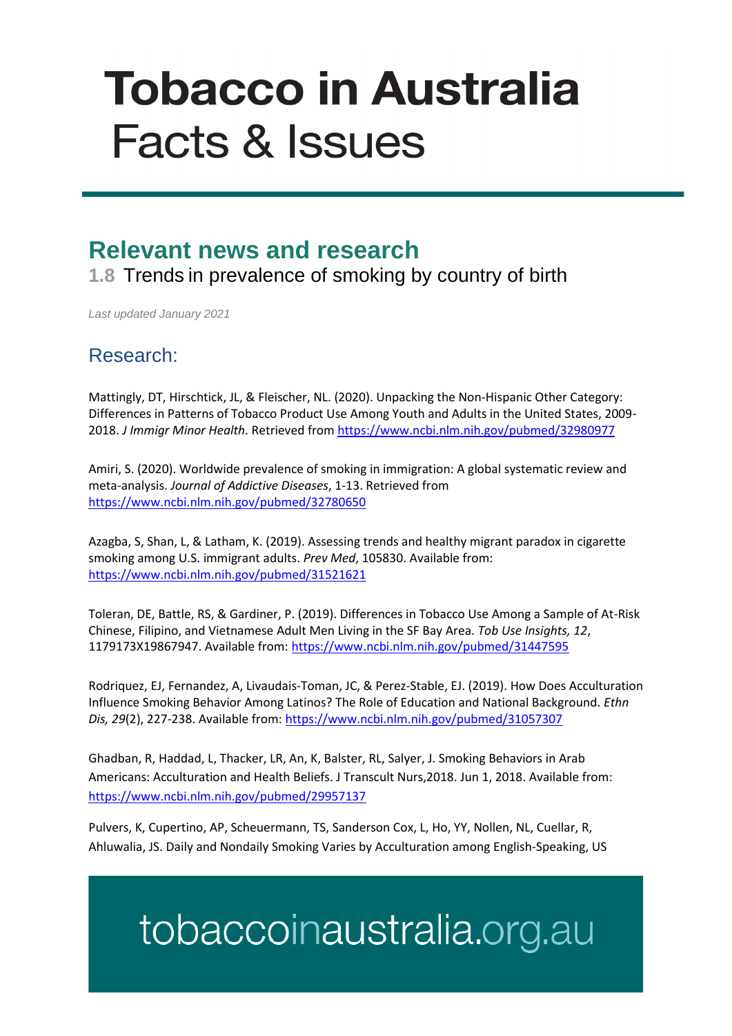# **Tobacco in Australia Facts & Issues**

### **Relevant news and research**

**1.8** Trends in prevalence of smoking by country of birth

*Last updated January 2021*

#### Research:

Mattingly, DT, Hirschtick, JL, & Fleischer, NL. (2020). Unpacking the Non-Hispanic Other Category: Differences in Patterns of Tobacco Product Use Among Youth and Adults in the United States, 2009- 2018. *J Immigr Minor Health*. Retrieved fro[m https://www.ncbi.nlm.nih.gov/pubmed/32980977](https://www.ncbi.nlm.nih.gov/pubmed/32980977)

Amiri, S. (2020). Worldwide prevalence of smoking in immigration: A global systematic review and meta-analysis. *Journal of Addictive Diseases*, 1-13. Retrieved from <https://www.ncbi.nlm.nih.gov/pubmed/32780650>

Azagba, S, Shan, L, & Latham, K. (2019). Assessing trends and healthy migrant paradox in cigarette smoking among U.S. immigrant adults. *Prev Med*, 105830. Available from: <https://www.ncbi.nlm.nih.gov/pubmed/31521621>

Toleran, DE, Battle, RS, & Gardiner, P. (2019). Differences in Tobacco Use Among a Sample of At-Risk Chinese, Filipino, and Vietnamese Adult Men Living in the SF Bay Area. *Tob Use Insights, 12*, 1179173X19867947. Available from:<https://www.ncbi.nlm.nih.gov/pubmed/31447595>

Rodriquez, EJ, Fernandez, A, Livaudais-Toman, JC, & Perez-Stable, EJ. (2019). How Does Acculturation Influence Smoking Behavior Among Latinos? The Role of Education and National Background. *Ethn Dis, 29*(2), 227-238. Available from:<https://www.ncbi.nlm.nih.gov/pubmed/31057307>

Ghadban, R, Haddad, L, Thacker, LR, An, K, Balster, RL, Salyer, J. Smoking Behaviors in Arab Americans: Acculturation and Health Beliefs. J Transcult Nurs,2018. Jun 1, 2018. Available from: <https://www.ncbi.nlm.nih.gov/pubmed/29957137>

Pulvers, K, Cupertino, AP, Scheuermann, TS, Sanderson Cox, L, Ho, YY, Nollen, NL, Cuellar, R, Ahluwalia, JS. Daily and Nondaily Smoking Varies by Acculturation among English-Speaking, US

## tobaccoinaustralia.org.au